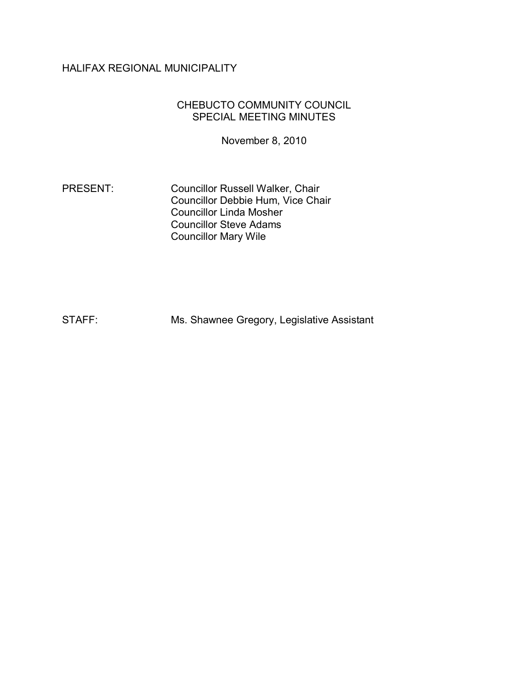# HALIFAX REGIONAL MUNICIPALITY

#### CHEBUCTO COMMUNITY COUNCIL SPECIAL MEETING MINUTES

November 8, 2010

PRESENT: Councillor Russell Walker, Chair Councillor Debbie Hum, Vice Chair Councillor Linda Mosher Councillor Steve Adams Councillor Mary Wile

STAFF: Ms. Shawnee Gregory, Legislative Assistant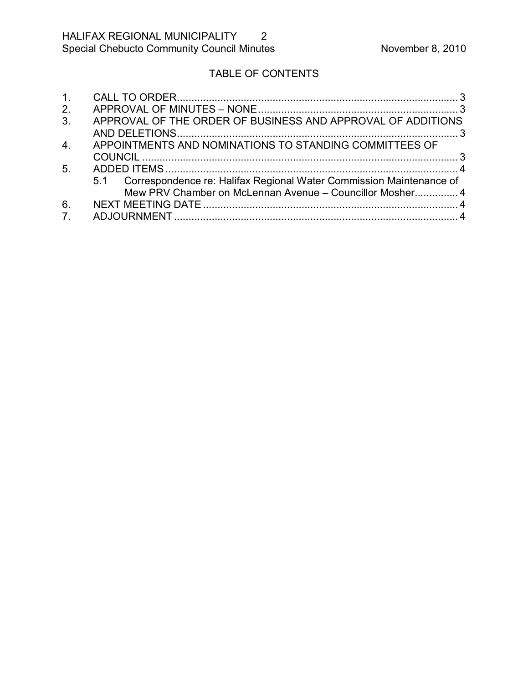# TABLE OF CONTENTS

| 1 <sub>1</sub>   |                                                                         |
|------------------|-------------------------------------------------------------------------|
| 2.               |                                                                         |
| 3.               | APPROVAL OF THE ORDER OF BUSINESS AND APPROVAL OF ADDITIONS             |
|                  |                                                                         |
| $\overline{4}$ . | APPOINTMENTS AND NOMINATIONS TO STANDING COMMITTEES OF                  |
|                  |                                                                         |
| 5.               |                                                                         |
|                  | 5.1 Correspondence re: Halifax Regional Water Commission Maintenance of |
|                  | Mew PRV Chamber on McLennan Avenue – Councillor Mosher 4                |
| 6.               |                                                                         |
| 7 <sub>1</sub>   |                                                                         |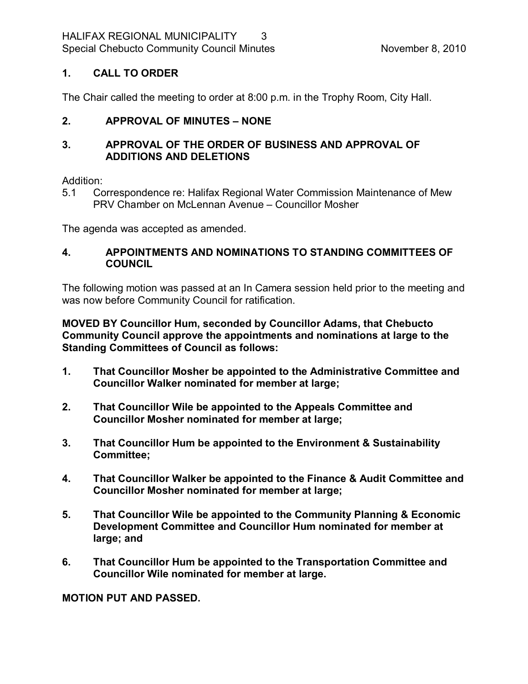# <span id="page-2-0"></span>**1. CALL TO ORDER**

The Chair called the meeting to order at 8:00 p.m. in the Trophy Room, City Hall.

# <span id="page-2-1"></span>**2. APPROVAL OF MINUTES – NONE**

### <span id="page-2-2"></span>**3. APPROVAL OF THE ORDER OF BUSINESS AND APPROVAL OF ADDITIONS AND DELETIONS**

#### Addition:

5.1 Correspondence re: Halifax Regional Water Commission Maintenance of Mew PRV Chamber on McLennan Avenue – Councillor Mosher

The agenda was accepted as amended.

### <span id="page-2-3"></span>**4. APPOINTMENTS AND NOMINATIONS TO STANDING COMMITTEES OF COUNCIL**

The following motion was passed at an In Camera session held prior to the meeting and was now before Community Council for ratification.

**MOVED BY Councillor Hum, seconded by Councillor Adams, that Chebucto Community Council approve the appointments and nominations at large to the Standing Committees of Council as follows:**

- **1. That Councillor Mosher be appointed to the Administrative Committee and Councillor Walker nominated for member at large;**
- **2. That Councillor Wile be appointed to the Appeals Committee and Councillor Mosher nominated for member at large;**
- **3. That Councillor Hum be appointed to the Environment & Sustainability Committee;**
- **4. That Councillor Walker be appointed to the Finance & Audit Committee and Councillor Mosher nominated for member at large;**
- **5. That Councillor Wile be appointed to the Community Planning & Economic Development Committee and Councillor Hum nominated for member at large; and**
- **6. That Councillor Hum be appointed to the Transportation Committee and Councillor Wile nominated for member at large.**

**MOTION PUT AND PASSED.**